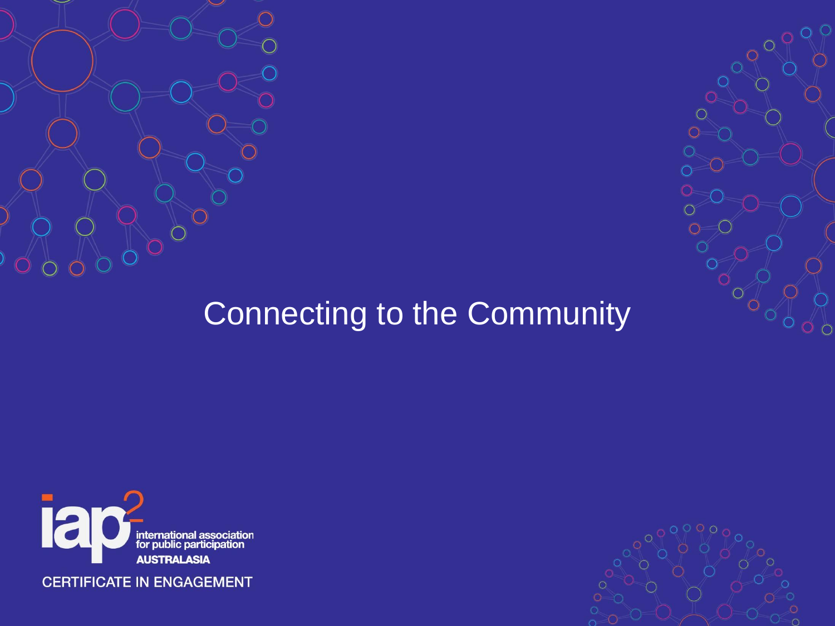



### Connecting to the Community



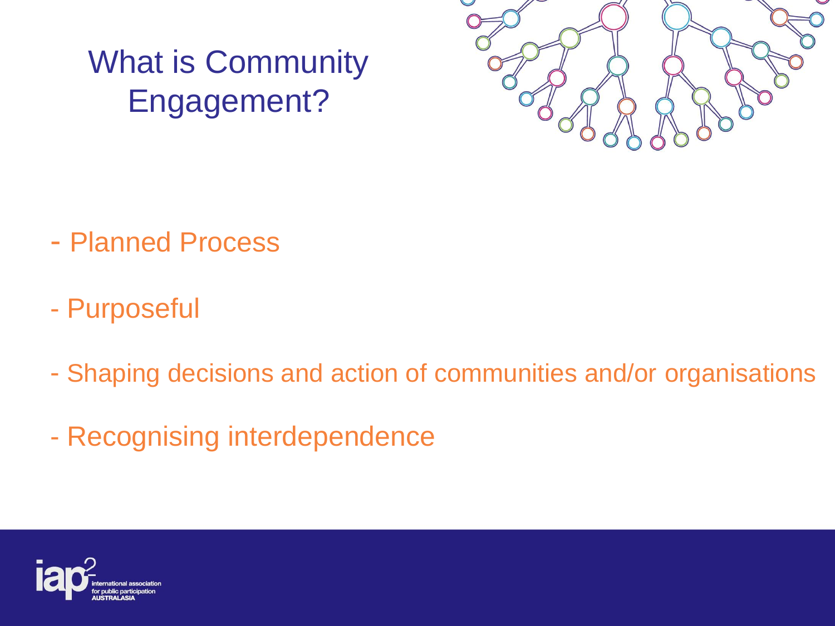## What is Community Engagement?



- Planned Process
- Purposeful
- Shaping decisions and action of communities and/or organisations
- Recognising interdependence

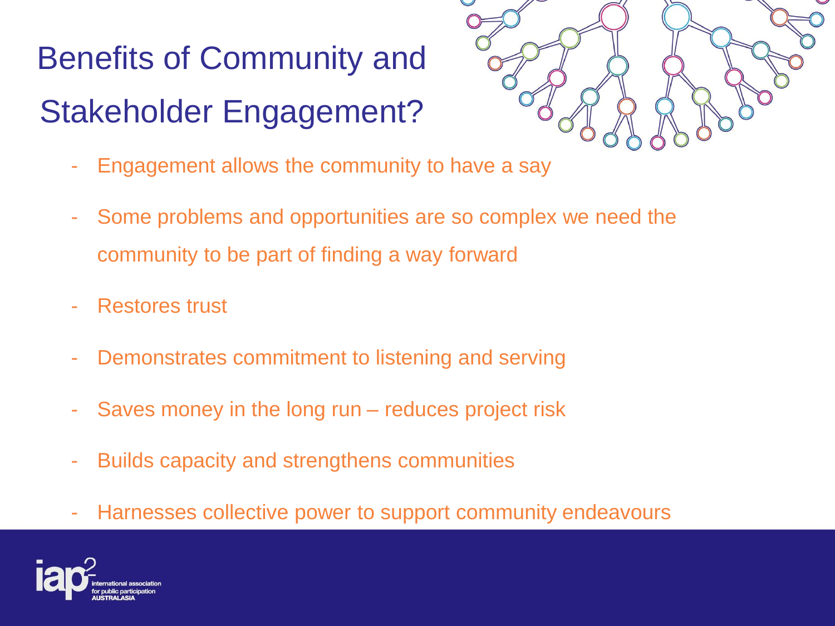## Benefits of Community and Stakeholder Engagement?



- Engagement allows the community to have a say
- Some problems and opportunities are so complex we need the community to be part of finding a way forward
- Restores trust
- Demonstrates commitment to listening and serving
- Saves money in the long run reduces project risk
- Builds capacity and strengthens communities
- Harnesses collective power to support community endeavours

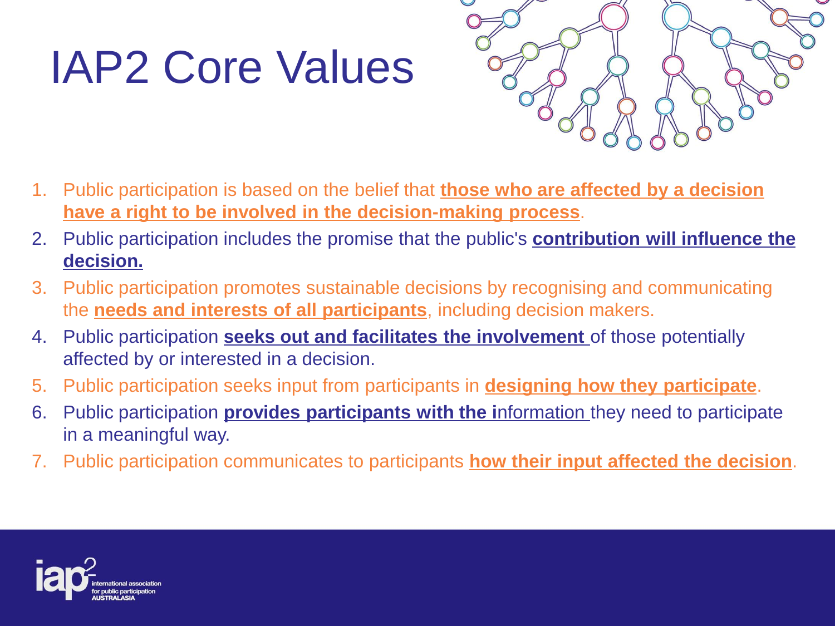# IAP2 Core Values



- 1. Public participation is based on the belief that **those who are affected by a decision have a right to be involved in the decision-making process**.
- 2. Public participation includes the promise that the public's **contribution will influence the decision.**
- 3. Public participation promotes sustainable decisions by recognising and communicating the **needs and interests of all participants**, including decision makers.
- 4. Public participation **seeks out and facilitates the involvement** of those potentially affected by or interested in a decision.
- 5. Public participation seeks input from participants in **designing how they participate**.
- 6. Public participation **provides participants with the i**nformation they need to participate in a meaningful way.
- 7. Public participation communicates to participants **how their input affected the decision**.

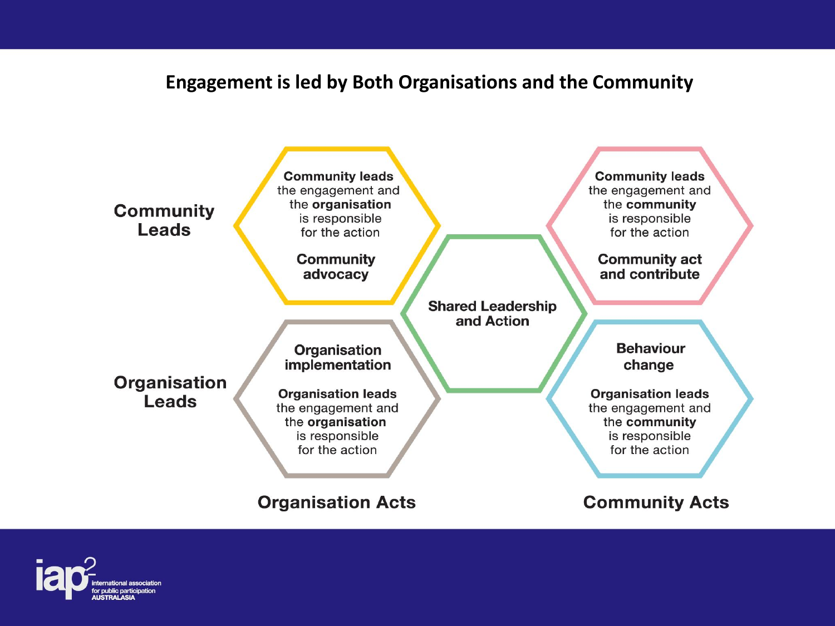#### **Engagement is led by Both Organisations and the Community**



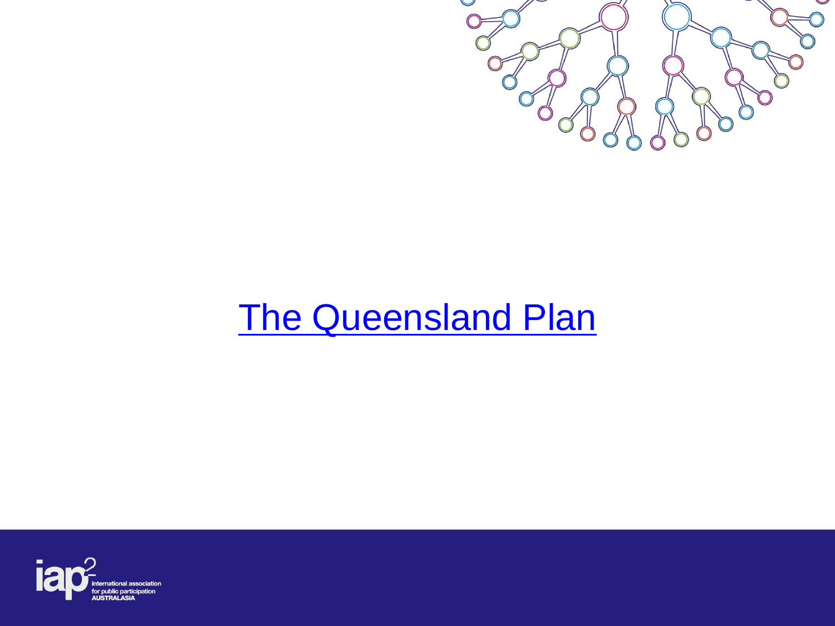

## [The Queensland Plan](https://www.youtube.com/watch?v=sEQ6ofifS5A)